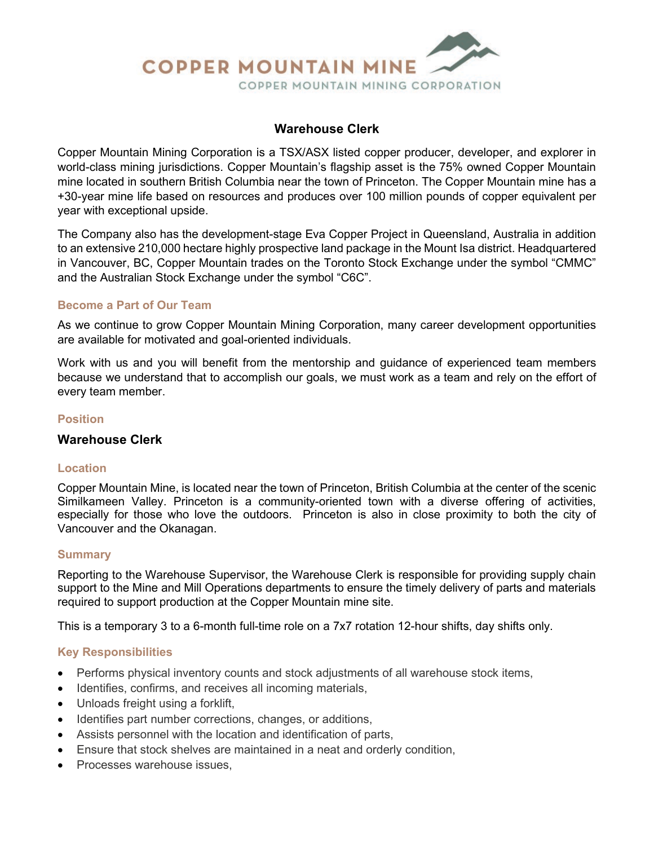

## **Warehouse Clerk**

Copper Mountain Mining Corporation is a TSX/ASX listed copper producer, developer, and explorer in world-class mining jurisdictions. Copper Mountain's flagship asset is the 75% owned Copper Mountain mine located in southern British Columbia near the town of Princeton. The Copper Mountain mine has a +30-year mine life based on resources and produces over 100 million pounds of copper equivalent per year with exceptional upside.

The Company also has the development-stage Eva Copper Project in Queensland, Australia in addition to an extensive 210,000 hectare highly prospective land package in the Mount Isa district. Headquartered in Vancouver, BC, Copper Mountain trades on the Toronto Stock Exchange under the symbol "CMMC" and the Australian Stock Exchange under the symbol "C6C".

#### **Become a Part of Our Team**

As we continue to grow Copper Mountain Mining Corporation, many career development opportunities are available for motivated and goal-oriented individuals.

Work with us and you will benefit from the mentorship and guidance of experienced team members because we understand that to accomplish our goals, we must work as a team and rely on the effort of every team member.

## **Position**

#### **Warehouse Clerk**

#### **Location**

Copper Mountain Mine, is located near the town of Princeton, British Columbia at the center of the scenic Similkameen Valley. Princeton is a community-oriented town with a diverse offering of activities, especially for those who love the outdoors. Princeton is also in close proximity to both the city of Vancouver and the Okanagan.

#### **Summary**

Reporting to the Warehouse Supervisor, the Warehouse Clerk is responsible for providing supply chain support to the Mine and Mill Operations departments to ensure the timely delivery of parts and materials required to support production at the Copper Mountain mine site.

This is a temporary 3 to a 6-month full-time role on a 7x7 rotation 12-hour shifts, day shifts only.

#### **Key Responsibilities**

- Performs physical inventory counts and stock adjustments of all warehouse stock items,
- Identifies, confirms, and receives all incoming materials,
- Unloads freight using a forklift,
- Identifies part number corrections, changes, or additions,
- Assists personnel with the location and identification of parts,
- Ensure that stock shelves are maintained in a neat and orderly condition,
- Processes warehouse issues.